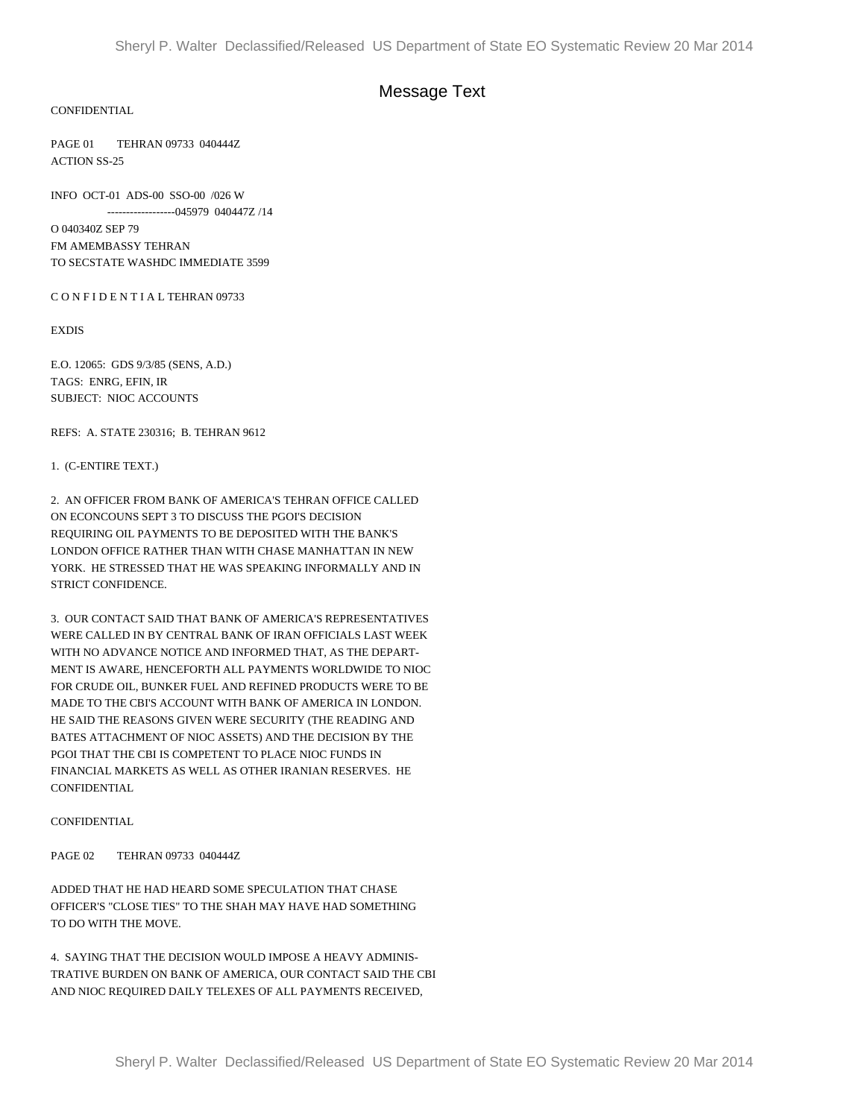# Message Text

### CONFIDENTIAL

PAGE 01 TEHRAN 09733 040444Z ACTION SS-25

INFO OCT-01 ADS-00 SSO-00 /026 W ------------------045979 040447Z /14

O 040340Z SEP 79 FM AMEMBASSY TEHRAN TO SECSTATE WASHDC IMMEDIATE 3599

C O N F I D E N T I A L TEHRAN 09733

EXDIS

E.O. 12065: GDS 9/3/85 (SENS, A.D.) TAGS: ENRG, EFIN, IR SUBJECT: NIOC ACCOUNTS

REFS: A. STATE 230316; B. TEHRAN 9612

#### 1. (C-ENTIRE TEXT.)

2. AN OFFICER FROM BANK OF AMERICA'S TEHRAN OFFICE CALLED ON ECONCOUNS SEPT 3 TO DISCUSS THE PGOI'S DECISION REQUIRING OIL PAYMENTS TO BE DEPOSITED WITH THE BANK'S LONDON OFFICE RATHER THAN WITH CHASE MANHATTAN IN NEW YORK. HE STRESSED THAT HE WAS SPEAKING INFORMALLY AND IN STRICT CONFIDENCE.

3. OUR CONTACT SAID THAT BANK OF AMERICA'S REPRESENTATIVES WERE CALLED IN BY CENTRAL BANK OF IRAN OFFICIALS LAST WEEK WITH NO ADVANCE NOTICE AND INFORMED THAT, AS THE DEPART-MENT IS AWARE, HENCEFORTH ALL PAYMENTS WORLDWIDE TO NIOC FOR CRUDE OIL, BUNKER FUEL AND REFINED PRODUCTS WERE TO BE MADE TO THE CBI'S ACCOUNT WITH BANK OF AMERICA IN LONDON. HE SAID THE REASONS GIVEN WERE SECURITY (THE READING AND BATES ATTACHMENT OF NIOC ASSETS) AND THE DECISION BY THE PGOI THAT THE CBI IS COMPETENT TO PLACE NIOC FUNDS IN FINANCIAL MARKETS AS WELL AS OTHER IRANIAN RESERVES. HE CONFIDENTIAL

#### **CONFIDENTIAL**

PAGE 02 TEHRAN 09733 040444Z

ADDED THAT HE HAD HEARD SOME SPECULATION THAT CHASE OFFICER'S "CLOSE TIES" TO THE SHAH MAY HAVE HAD SOMETHING TO DO WITH THE MOVE.

4. SAYING THAT THE DECISION WOULD IMPOSE A HEAVY ADMINIS-TRATIVE BURDEN ON BANK OF AMERICA, OUR CONTACT SAID THE CBI AND NIOC REQUIRED DAILY TELEXES OF ALL PAYMENTS RECEIVED,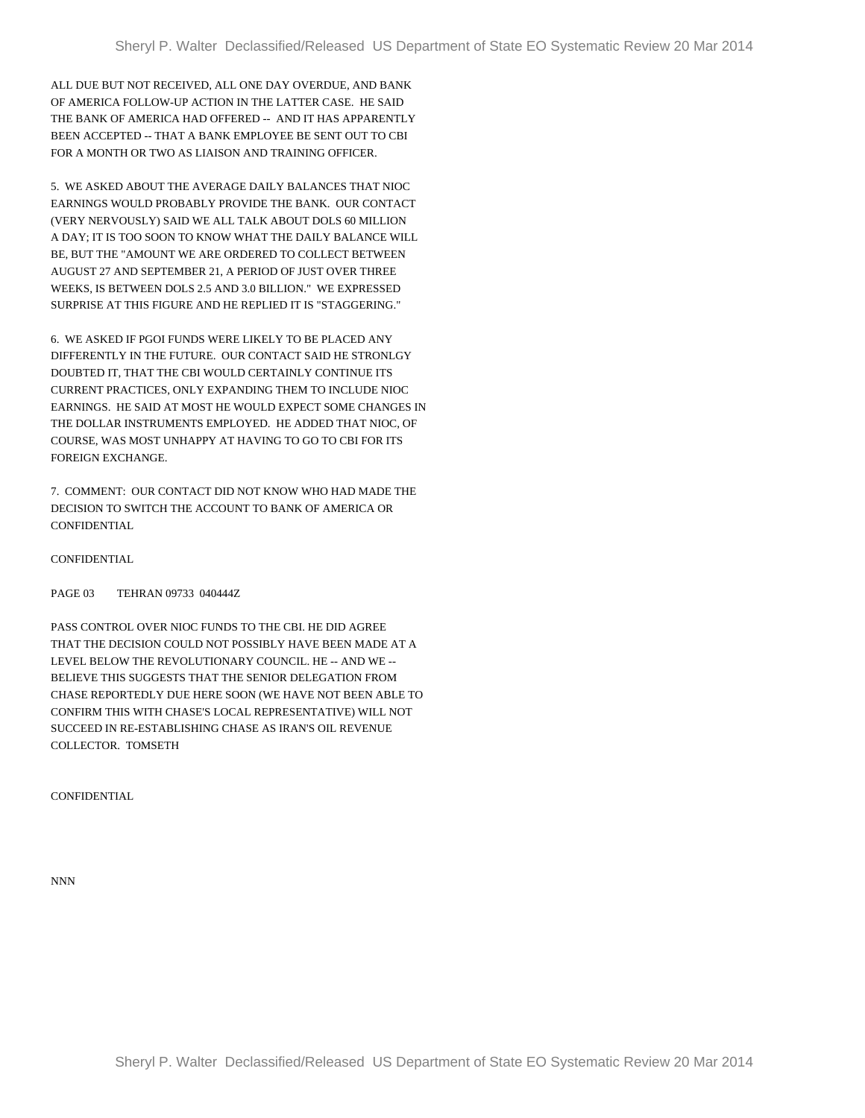ALL DUE BUT NOT RECEIVED, ALL ONE DAY OVERDUE, AND BANK OF AMERICA FOLLOW-UP ACTION IN THE LATTER CASE. HE SAID THE BANK OF AMERICA HAD OFFERED -- AND IT HAS APPARENTLY BEEN ACCEPTED -- THAT A BANK EMPLOYEE BE SENT OUT TO CBI FOR A MONTH OR TWO AS LIAISON AND TRAINING OFFICER.

5. WE ASKED ABOUT THE AVERAGE DAILY BALANCES THAT NIOC EARNINGS WOULD PROBABLY PROVIDE THE BANK. OUR CONTACT (VERY NERVOUSLY) SAID WE ALL TALK ABOUT DOLS 60 MILLION A DAY; IT IS TOO SOON TO KNOW WHAT THE DAILY BALANCE WILL BE, BUT THE "AMOUNT WE ARE ORDERED TO COLLECT BETWEEN AUGUST 27 AND SEPTEMBER 21, A PERIOD OF JUST OVER THREE WEEKS, IS BETWEEN DOLS 2.5 AND 3.0 BILLION." WE EXPRESSED SURPRISE AT THIS FIGURE AND HE REPLIED IT IS "STAGGERING."

6. WE ASKED IF PGOI FUNDS WERE LIKELY TO BE PLACED ANY DIFFERENTLY IN THE FUTURE. OUR CONTACT SAID HE STRONLGY DOUBTED IT, THAT THE CBI WOULD CERTAINLY CONTINUE ITS CURRENT PRACTICES, ONLY EXPANDING THEM TO INCLUDE NIOC EARNINGS. HE SAID AT MOST HE WOULD EXPECT SOME CHANGES IN THE DOLLAR INSTRUMENTS EMPLOYED. HE ADDED THAT NIOC, OF COURSE, WAS MOST UNHAPPY AT HAVING TO GO TO CBI FOR ITS FOREIGN EXCHANGE.

7. COMMENT: OUR CONTACT DID NOT KNOW WHO HAD MADE THE DECISION TO SWITCH THE ACCOUNT TO BANK OF AMERICA OR **CONFIDENTIAL** 

CONFIDENTIAL

PAGE 03 TEHRAN 09733 040444Z

PASS CONTROL OVER NIOC FUNDS TO THE CBI. HE DID AGREE THAT THE DECISION COULD NOT POSSIBLY HAVE BEEN MADE AT A LEVEL BELOW THE REVOLUTIONARY COUNCIL. HE -- AND WE -- BELIEVE THIS SUGGESTS THAT THE SENIOR DELEGATION FROM CHASE REPORTEDLY DUE HERE SOON (WE HAVE NOT BEEN ABLE TO CONFIRM THIS WITH CHASE'S LOCAL REPRESENTATIVE) WILL NOT SUCCEED IN RE-ESTABLISHING CHASE AS IRAN'S OIL REVENUE COLLECTOR. TOMSETH

CONFIDENTIAL

NNN